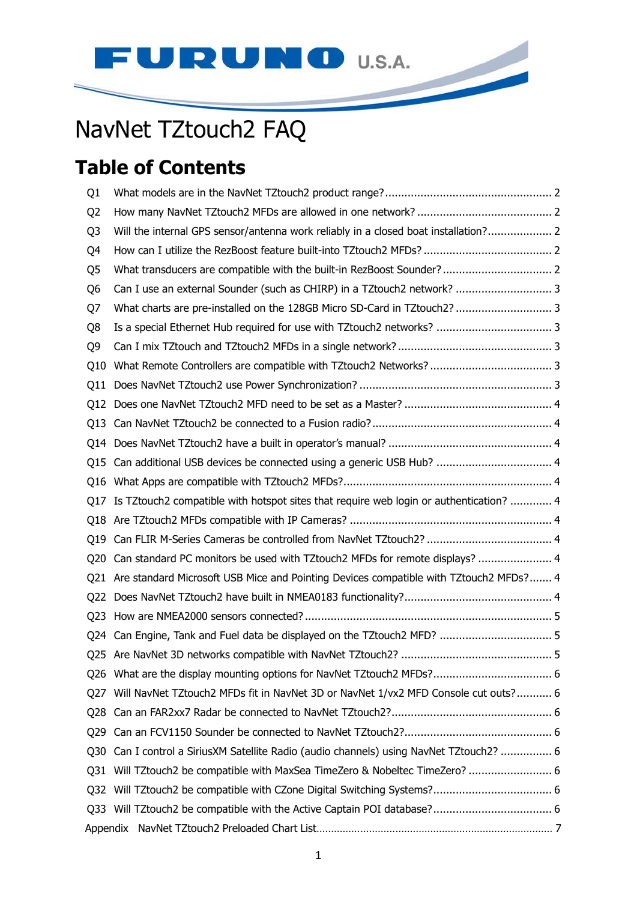

# NavNet TZtouch2 FAQ

# **Table of Contents**

| Q <sub>1</sub> |                                                                                            |
|----------------|--------------------------------------------------------------------------------------------|
| Q <sub>2</sub> |                                                                                            |
| Q <sub>3</sub> | Will the internal GPS sensor/antenna work reliably in a closed boat installation? 2        |
| Q4             |                                                                                            |
| Q <sub>5</sub> | What transducers are compatible with the built-in RezBoost Sounder?  2                     |
| Q <sub>6</sub> | Can I use an external Sounder (such as CHIRP) in a TZtouch2 network?  3                    |
| Q7             | What charts are pre-installed on the 128GB Micro SD-Card in TZtouch2?  3                   |
| Q8             |                                                                                            |
| Q <sub>9</sub> |                                                                                            |
| Q10            |                                                                                            |
| Q11            |                                                                                            |
| Q12            |                                                                                            |
|                |                                                                                            |
|                |                                                                                            |
|                | Q15 Can additional USB devices be connected using a generic USB Hub?  4                    |
|                |                                                                                            |
|                | Q17 Is TZtouch2 compatible with hotspot sites that require web login or authentication?  4 |
|                |                                                                                            |
|                |                                                                                            |
|                | Q20 Can standard PC monitors be used with TZtouch2 MFDs for remote displays?  4            |
|                | Q21 Are standard Microsoft USB Mice and Pointing Devices compatible with TZtouch2 MFDs? 4  |
|                |                                                                                            |
|                |                                                                                            |
|                |                                                                                            |
|                |                                                                                            |
|                |                                                                                            |
|                | Q27 Will NavNet TZtouch2 MFDs fit in NavNet 3D or NavNet 1/vx2 MFD Console cut outs? 6     |
|                |                                                                                            |
|                |                                                                                            |
|                | Q30 Can I control a SiriusXM Satellite Radio (audio channels) using NavNet TZtouch2?  6    |
|                | Q31 Will TZtouch2 be compatible with MaxSea TimeZero & Nobeltec TimeZero?  6               |
|                |                                                                                            |
|                |                                                                                            |
|                |                                                                                            |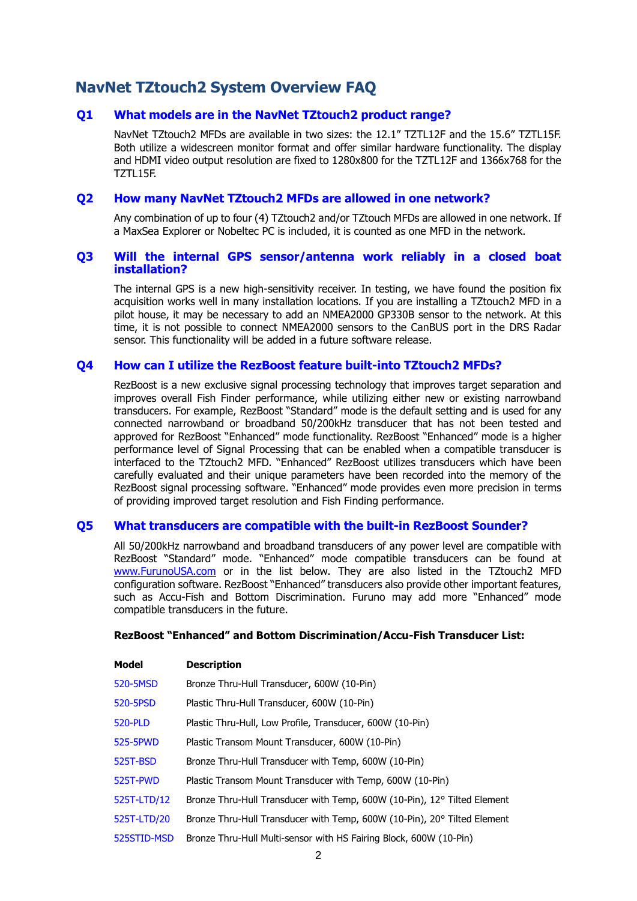# **NavNet TZtouch2 System Overview FAQ**

#### <span id="page-1-0"></span>**Q1 What models are in the NavNet TZtouch2 product range?**

NavNet TZtouch2 MFDs are available in two sizes: the 12.1" TZTL12F and the 15.6" TZTL15F. Both utilize a widescreen monitor format and offer similar hardware functionality. The display and HDMI video output resolution are fixed to 1280x800 for the TZTL12F and 1366x768 for the TZTL15F.

#### <span id="page-1-1"></span>**Q2 How many NavNet TZtouch2 MFDs are allowed in one network?**

Any combination of up to four (4) TZtouch2 and/or TZtouch MFDs are allowed in one network. If a MaxSea Explorer or Nobeltec PC is included, it is counted as one MFD in the network.

#### <span id="page-1-2"></span>**Q3 Will the internal GPS sensor/antenna work reliably in a closed boat installation?**

The internal GPS is a new high-sensitivity receiver. In testing, we have found the position fix acquisition works well in many installation locations. If you are installing a TZtouch2 MFD in a pilot house, it may be necessary to add an NMEA2000 GP330B sensor to the network. At this time, it is not possible to connect NMEA2000 sensors to the CanBUS port in the DRS Radar sensor. This functionality will be added in a future software release.

#### <span id="page-1-3"></span>**Q4 How can I utilize the RezBoost feature built-into TZtouch2 MFDs?**

RezBoost is a new exclusive signal processing technology that improves target separation and improves overall Fish Finder performance, while utilizing either new or existing narrowband transducers. For example, RezBoost "Standard" mode is the default setting and is used for any connected narrowband or broadband 50/200kHz transducer that has not been tested and approved for RezBoost "Enhanced" mode functionality. RezBoost "Enhanced" mode is a higher performance level of Signal Processing that can be enabled when a compatible transducer is interfaced to the TZtouch2 MFD. "Enhanced" RezBoost utilizes transducers which have been carefully evaluated and their unique parameters have been recorded into the memory of the RezBoost signal processing software. "Enhanced" mode provides even more precision in terms of providing improved target resolution and Fish Finding performance.

#### <span id="page-1-4"></span>**Q5 What transducers are compatible with the built-in RezBoost Sounder?**

All 50/200kHz narrowband and broadband transducers of any power level are compatible with RezBoost "Standard" mode. "Enhanced" mode compatible transducers can be found at [www.FurunoUSA.com](http://www.furunousa.com/) or in the list below. They are also listed in the TZtouch2 MFD configuration software. RezBoost "Enhanced" transducers also provide other important features, such as Accu-Fish and Bottom Discrimination. Furuno may add more "Enhanced" mode compatible transducers in the future.

#### **RezBoost "Enhanced" and Bottom Discrimination/Accu-Fish Transducer List:**

| <b>Model</b> | <b>Description</b>                                                       |
|--------------|--------------------------------------------------------------------------|
| 520-5MSD     | Bronze Thru-Hull Transducer, 600W (10-Pin)                               |
| 520-5PSD     | Plastic Thru-Hull Transducer, 600W (10-Pin)                              |
| 520-PLD      | Plastic Thru-Hull, Low Profile, Transducer, 600W (10-Pin)                |
| 525-5PWD     | Plastic Transom Mount Transducer, 600W (10-Pin)                          |
| 525T-BSD     | Bronze Thru-Hull Transducer with Temp, 600W (10-Pin)                     |
| 525T-PWD     | Plastic Transom Mount Transducer with Temp, 600W (10-Pin)                |
| 525T-LTD/12  | Bronze Thru-Hull Transducer with Temp, 600W (10-Pin), 12° Tilted Element |
| 525T-LTD/20  | Bronze Thru-Hull Transducer with Temp, 600W (10-Pin), 20° Tilted Element |
| 525STID-MSD  | Bronze Thru-Hull Multi-sensor with HS Fairing Block, 600W (10-Pin)       |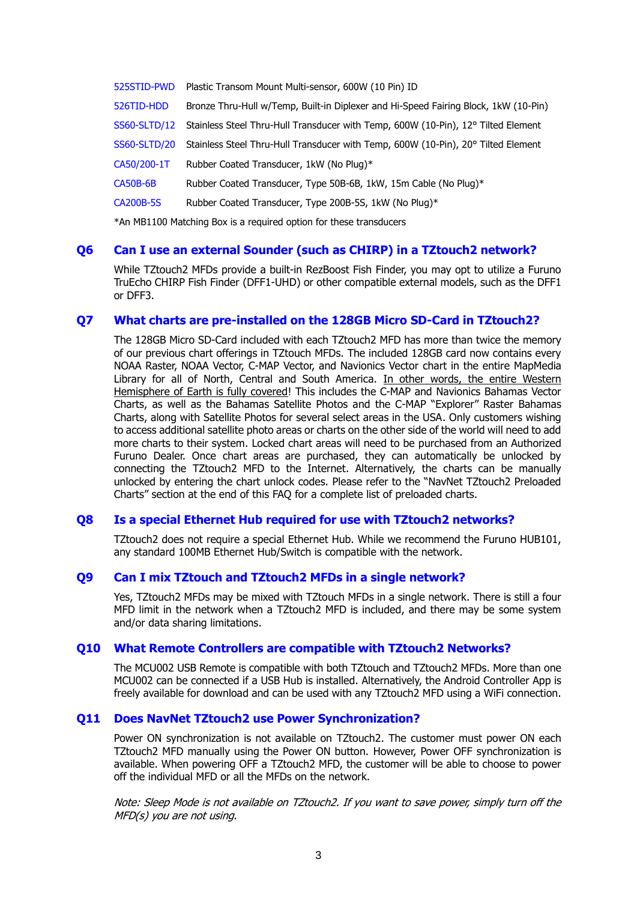[525STID-PWD](http://www.furunousa.com/products/ProductDetail.aspx?product=525STID-PWD) Plastic Transom Mount Multi-sensor, 600W (10 Pin) ID

- [526TID-HDD](http://www.furunousa.com/products/ProductDetail.aspx?product=526TID-HDD&category=Products+%3a+Transducers+%3a+Transducers+w%2fTemp&category=Products+%3a+Transducers+%3a+Transducers+w%2fTemp) Bronze Thru-Hull w/Temp, Built-in Diplexer and Hi-Speed Fairing Block, 1kW (10-Pin)
- [SS60-SLTD/12](http://www.furunousa.com/products/ProductDetail.aspx?product=SS60-SLTD%2f12) Stainless Steel Thru-Hull Transducer with Temp, 600W (10-Pin), 12° Tilted Element
- [SS60-SLTD/20](http://www.furunousa.com/products/ProductDetail.aspx?product=SS60-SLTD%2f20) Stainless Steel Thru-Hull Transducer with Temp, 600W (10-Pin), 20° Tilted Element
- [CA50/200-1T](http://www.furunousa.com/products/ProductDetail.aspx?product=CA50%2f200-1T&category=Products+%3a+Transducers+%3a+Transducers+w%2fo+Speed+%26+Temp&category=Products+%3a+Transducers+%3a+Transducers+w%2fo+Speed+%26+Temp) Rubber Coated Transducer, 1kW (No Plug)\*
- [CA50B-6B](http://www.furunousa.com/products/ProductDetail.aspx?product=CA50B-6B&category=Products+%3a+Transducers+%3a+Transducers+w%2fo+Speed+%26+Temp&category=Products+%3a+Transducers+%3a+Transducers+w%2fo+Speed+%26+Temp) Rubber Coated Transducer, Type 50B-6B, 1kW, 15m Cable (No Plug)\*

[CA200B-5S](http://www.furunousa.com/products/ProductDetail.aspx?product=CA200B-5S&category=Products+%3a+Transducers+%3a+Transducers+w%2fo+Speed+%26+Temp&category=Products+%3a+Transducers+%3a+Transducers+w%2fo+Speed+%26+Temp) Rubber Coated Transducer, Type 200B-5S, 1kW (No Plug)\*

\*An MB1100 Matching Box is a required option for these transducers

#### <span id="page-2-0"></span>**Q6 Can I use an external Sounder (such as CHIRP) in a TZtouch2 network?**

While TZtouch2 MFDs provide a built-in RezBoost Fish Finder, you may opt to utilize a Furuno TruEcho CHIRP Fish Finder (DFF1-UHD) or other compatible external models, such as the DFF1 or DFF3.

#### <span id="page-2-1"></span>**Q7 What charts are pre-installed on the 128GB Micro SD-Card in TZtouch2?**

The 128GB Micro SD-Card included with each TZtouch2 MFD has more than twice the memory of our previous chart offerings in TZtouch MFDs. The included 128GB card now contains every NOAA Raster, NOAA Vector, C-MAP Vector, and Navionics Vector chart in the entire MapMedia Library for all of North, Central and South America. In other words, the entire Western Hemisphere of Earth is fully covered! This includes the C-MAP and Navionics Bahamas Vector Charts, as well as the Bahamas Satellite Photos and the C-MAP "Explorer" Raster Bahamas Charts, along with Satellite Photos for several select areas in the USA. Only customers wishing to access additional satellite photo areas or charts on the other side of the world will need to add more charts to their system. Locked chart areas will need to be purchased from an Authorized Furuno Dealer. Once chart areas are purchased, they can automatically be unlocked by connecting the TZtouch2 MFD to the Internet. Alternatively, the charts can be manually unlocked by entering the chart unlock codes. Please refer to the "NavNet TZtouch2 Preloaded Charts" section at the end of this FAQ for a complete list of preloaded charts.

#### <span id="page-2-2"></span>**Q8 Is a special Ethernet Hub required for use with TZtouch2 networks?**

TZtouch2 does not require a special Ethernet Hub. While we recommend the Furuno HUB101, any standard 100MB Ethernet Hub/Switch is compatible with the network.

#### <span id="page-2-3"></span>**Q9 Can I mix TZtouch and TZtouch2 MFDs in a single network?**

Yes, TZtouch2 MFDs may be mixed with TZtouch MFDs in a single network. There is still a four MFD limit in the network when a TZtouch2 MFD is included, and there may be some system and/or data sharing limitations.

#### <span id="page-2-4"></span>**Q10 What Remote Controllers are compatible with TZtouch2 Networks?**

The MCU002 USB Remote is compatible with both TZtouch and TZtouch2 MFDs. More than one MCU002 can be connected if a USB Hub is installed. Alternatively, the Android Controller App is freely available for download and can be used with any TZtouch2 MFD using a WiFi connection.

#### <span id="page-2-5"></span>**Q11 Does NavNet TZtouch2 use Power Synchronization?**

Power ON synchronization is not available on TZtouch2. The customer must power ON each TZtouch2 MFD manually using the Power ON button. However, Power OFF synchronization is available. When powering OFF a TZtouch2 MFD, the customer will be able to choose to power off the individual MFD or all the MFDs on the network.

Note: Sleep Mode is not available on TZtouch2. If you want to save power, simply turn off the MFD(s) you are not using.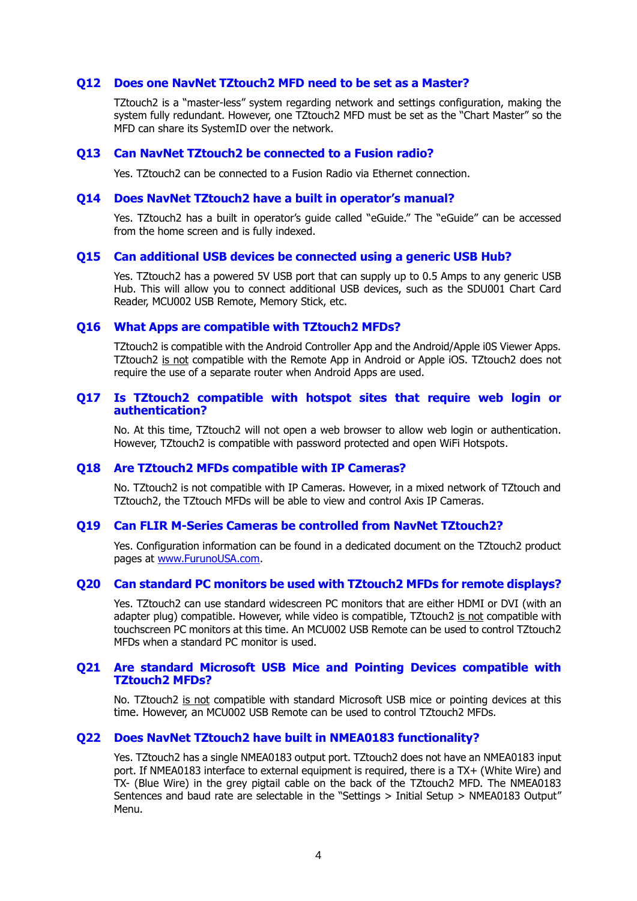#### <span id="page-3-0"></span>**Q12 Does one NavNet TZtouch2 MFD need to be set as a Master?**

TZtouch2 is a "master-less" system regarding network and settings configuration, making the system fully redundant. However, one TZtouch2 MFD must be set as the "Chart Master" so the MFD can share its SystemID over the network.

#### <span id="page-3-1"></span>**Q13 Can NavNet TZtouch2 be connected to a Fusion radio?**

Yes. TZtouch2 can be connected to a Fusion Radio via Ethernet connection.

#### <span id="page-3-2"></span>**Q14 Does NavNet TZtouch2 have a built in operator's manual?**

Yes. TZtouch2 has a built in operator's guide called "eGuide." The "eGuide" can be accessed from the home screen and is fully indexed.

#### <span id="page-3-3"></span>**Q15 Can additional USB devices be connected using a generic USB Hub?**

Yes. TZtouch2 has a powered 5V USB port that can supply up to 0.5 Amps to any generic USB Hub. This will allow you to connect additional USB devices, such as the SDU001 Chart Card Reader, MCU002 USB Remote, Memory Stick, etc.

#### <span id="page-3-4"></span>**Q16 What Apps are compatible with TZtouch2 MFDs?**

TZtouch2 is compatible with the Android Controller App and the Android/Apple i0S Viewer Apps. TZtouch2 is not compatible with the Remote App in Android or Apple iOS. TZtouch2 does not require the use of a separate router when Android Apps are used.

#### <span id="page-3-5"></span>**Q17 Is TZtouch2 compatible with hotspot sites that require web login or authentication?**

No. At this time, TZtouch2 will not open a web browser to allow web login or authentication. However, TZtouch2 is compatible with password protected and open WiFi Hotspots.

#### <span id="page-3-6"></span>**Q18 Are TZtouch2 MFDs compatible with IP Cameras?**

No. TZtouch2 is not compatible with IP Cameras. However, in a mixed network of TZtouch and TZtouch2, the TZtouch MFDs will be able to view and control Axis IP Cameras.

#### <span id="page-3-7"></span>**Q19 Can FLIR M-Series Cameras be controlled from NavNet TZtouch2?**

Yes. Configuration information can be found in a dedicated document on the TZtouch2 product pages at [www.FurunoUSA.com.](http://www.furunousa.com/)

#### <span id="page-3-8"></span>**Q20 Can standard PC monitors be used with TZtouch2 MFDs for remote displays?**

Yes. TZtouch2 can use standard widescreen PC monitors that are either HDMI or DVI (with an adapter plug) compatible. However, while video is compatible, TZtouch2 is not compatible with touchscreen PC monitors at this time. An MCU002 USB Remote can be used to control TZtouch2 MFDs when a standard PC monitor is used.

#### <span id="page-3-9"></span>**Q21 Are standard Microsoft USB Mice and Pointing Devices compatible with TZtouch2 MFDs?**

No. TZtouch2 is not compatible with standard Microsoft USB mice or pointing devices at this time. However, an MCU002 USB Remote can be used to control TZtouch2 MFDs.

#### <span id="page-3-10"></span>**Q22 Does NavNet TZtouch2 have built in NMEA0183 functionality?**

Yes. TZtouch2 has a single NMEA0183 output port. TZtouch2 does not have an NMEA0183 input port. If NMEA0183 interface to external equipment is required, there is a TX+ (White Wire) and TX- (Blue Wire) in the grey pigtail cable on the back of the TZtouch2 MFD. The NMEA0183 Sentences and baud rate are selectable in the "Settings > Initial Setup > NMEA0183 Output" Menu.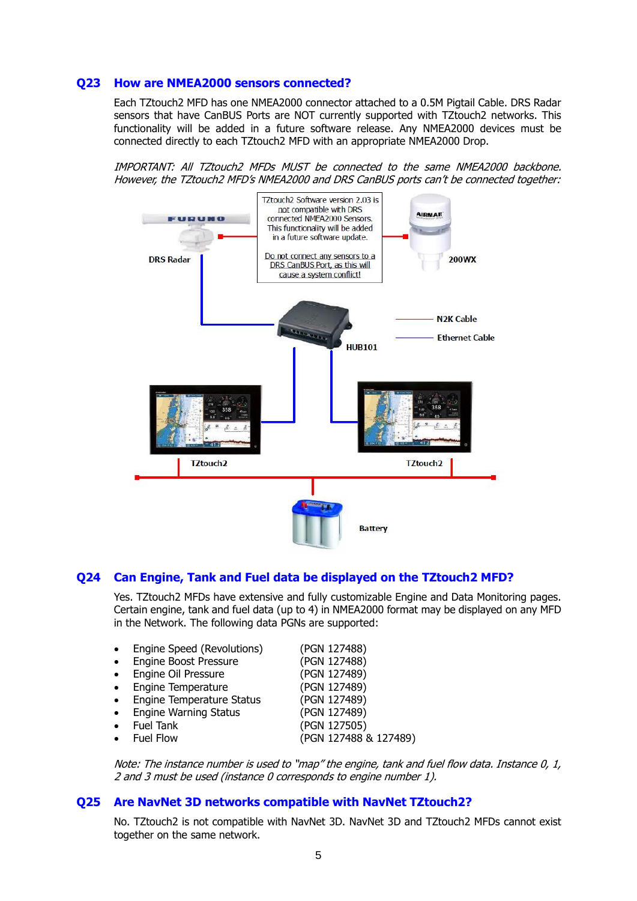#### <span id="page-4-0"></span>**Q23 How are NMEA2000 sensors connected?**

Each TZtouch2 MFD has one NMEA2000 connector attached to a 0.5M Pigtail Cable. DRS Radar sensors that have CanBUS Ports are NOT currently supported with TZtouch2 networks. This functionality will be added in a future software release. Any NMEA2000 devices must be connected directly to each TZtouch2 MFD with an appropriate NMEA2000 Drop.

IMPORTANT: All TZtouch2 MFDs MUST be connected to the same NMEA2000 backbone. However, the TZtouch2 MFD'<sup>s</sup> NMEA2000 and DRS CanBUS ports can't be connected together:



#### <span id="page-4-1"></span>**Q24 Can Engine, Tank and Fuel data be displayed on the TZtouch2 MFD?**

Yes. TZtouch2 MFDs have extensive and fully customizable Engine and Data Monitoring pages. Certain engine, tank and fuel data (up to 4) in NMEA2000 format may be displayed on any MFD in the Network. The following data PGNs are supported:

| $\bullet$ | Engine Speed (Revolutions)   | (PGN 127488)          |
|-----------|------------------------------|-----------------------|
| $\bullet$ | Engine Boost Pressure        | (PGN 127488)          |
| $\bullet$ | Engine Oil Pressure          | (PGN 127489)          |
| $\bullet$ | <b>Engine Temperature</b>    | (PGN 127489)          |
| $\bullet$ | Engine Temperature Status    | (PGN 127489)          |
| $\bullet$ | <b>Engine Warning Status</b> | (PGN 127489)          |
| $\bullet$ | Fuel Tank                    | (PGN 127505)          |
|           | $\bullet$ Fuel Flow          | (PGN 127488 & 127489) |
|           |                              |                       |

Note: The instance number is used to "map" the engine, tank and fuel flow data. Instance 0, 1, 2 and 3 must be used (instance 0 corresponds to engine number 1).

#### <span id="page-4-2"></span>**Q25 Are NavNet 3D networks compatible with NavNet TZtouch2?**

No. TZtouch2 is not compatible with NavNet 3D. NavNet 3D and TZtouch2 MFDs cannot exist together on the same network.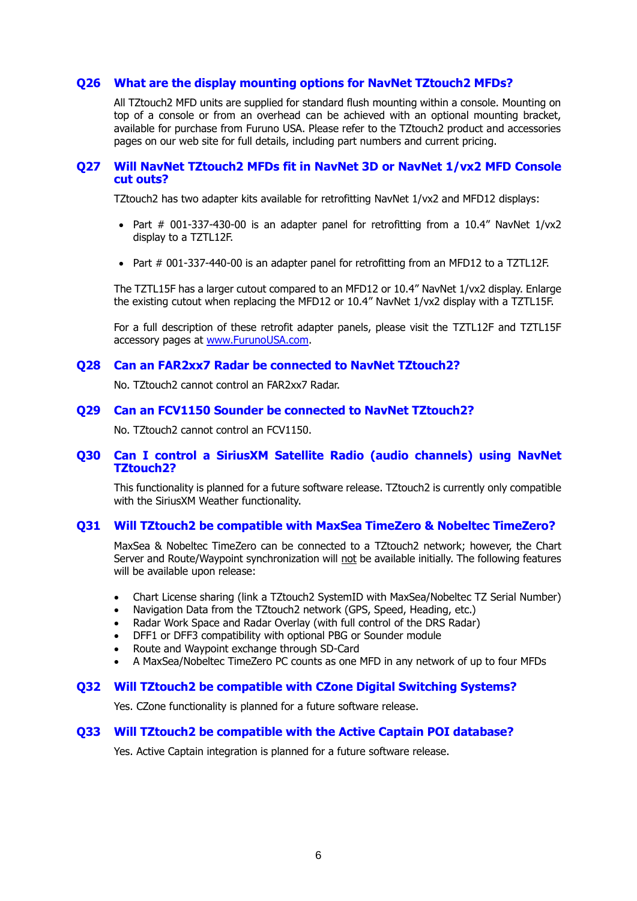#### <span id="page-5-0"></span>**Q26 What are the display mounting options for NavNet TZtouch2 MFDs?**

All TZtouch2 MFD units are supplied for standard flush mounting within a console. Mounting on top of a console or from an overhead can be achieved with an optional mounting bracket, available for purchase from Furuno USA. Please refer to the TZtouch2 product and accessories pages on our web site for full details, including part numbers and current pricing.

#### <span id="page-5-1"></span>**Q27 Will NavNet TZtouch2 MFDs fit in NavNet 3D or NavNet 1/vx2 MFD Console cut outs?**

TZtouch2 has two adapter kits available for retrofitting NavNet 1/vx2 and MFD12 displays:

- Part  $\#$  001-337-430-00 is an adapter panel for retrofitting from a 10.4" NavNet  $1/\nu x^2$ display to a TZTL12F.
- Part # 001-337-440-00 is an adapter panel for retrofitting from an MFD12 to a TZTL12F.

The TZTL15F has a larger cutout compared to an MFD12 or 10.4" NavNet 1/vx2 display. Enlarge the existing cutout when replacing the MFD12 or 10.4" NavNet 1/vx2 display with a TZTL15F.

For a full description of these retrofit adapter panels, please visit the TZTL12F and TZTL15F accessory pages at [www.FurunoUSA.com.](http://www.furunousa.com/)

#### <span id="page-5-2"></span>**Q28 Can an FAR2xx7 Radar be connected to NavNet TZtouch2?**

No. TZtouch2 cannot control an FAR2xx7 Radar.

#### <span id="page-5-3"></span>**Q29 Can an FCV1150 Sounder be connected to NavNet TZtouch2?**

No. TZtouch2 cannot control an FCV1150.

#### <span id="page-5-4"></span>**Q30 Can I control a SiriusXM Satellite Radio (audio channels) using NavNet TZtouch2?**

This functionality is planned for a future software release. TZtouch2 is currently only compatible with the SiriusXM Weather functionality.

#### <span id="page-5-5"></span>**Q31 Will TZtouch2 be compatible with MaxSea TimeZero & Nobeltec TimeZero?**

MaxSea & Nobeltec TimeZero can be connected to a TZtouch2 network; however, the Chart Server and Route/Waypoint synchronization will not be available initially. The following features will be available upon release:

- Chart License sharing (link a TZtouch2 SystemID with MaxSea/Nobeltec TZ Serial Number)
- Navigation Data from the TZtouch2 network (GPS, Speed, Heading, etc.)
- Radar Work Space and Radar Overlay (with full control of the DRS Radar)
- DFF1 or DFF3 compatibility with optional PBG or Sounder module
- Route and Waypoint exchange through SD-Card
- A MaxSea/Nobeltec TimeZero PC counts as one MFD in any network of up to four MFDs

#### <span id="page-5-6"></span>**Q32 Will TZtouch2 be compatible with CZone Digital Switching Systems?**

Yes. CZone functionality is planned for a future software release.

#### <span id="page-5-7"></span>**Q33 Will TZtouch2 be compatible with the Active Captain POI database?**

Yes. Active Captain integration is planned for a future software release.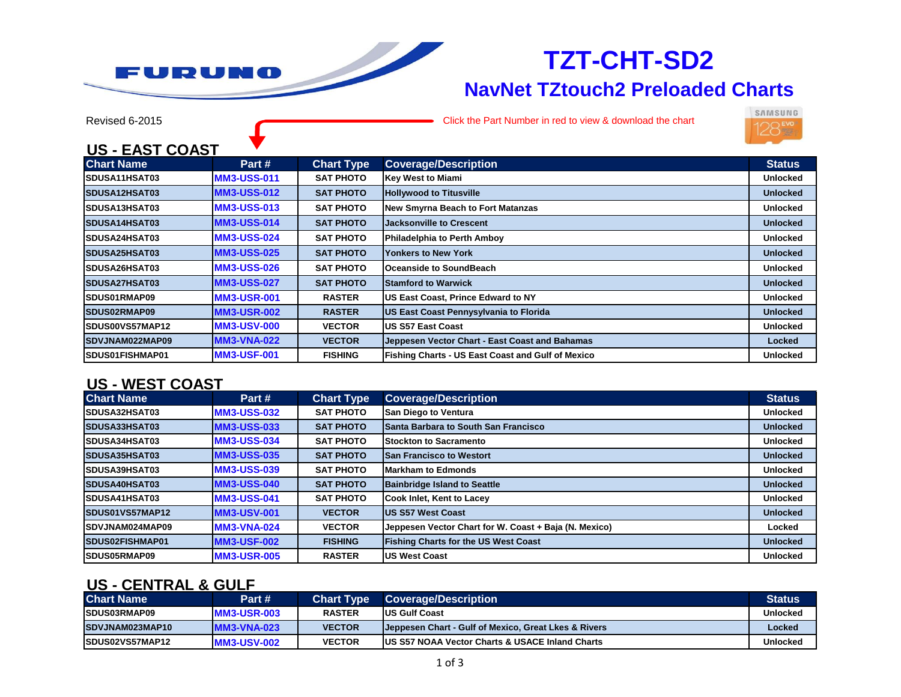

# **NavNet TZtouch2 Preloaded Charts TZT-CHT-SD2**

SAMSUNG

| Revised 6-2015                              |                    |                   | Click the Part Number in red to view & download the chart | $128$ <sup>EVO</sup> |
|---------------------------------------------|--------------------|-------------------|-----------------------------------------------------------|----------------------|
| <b>US - EAST COAST</b><br><b>Chart Name</b> | Part #             | <b>Chart Type</b> | <b>Coverage/Description</b>                               | <u> Status</u>       |
| SDUSA11HSAT03                               | <b>MM3-USS-011</b> | <b>SAT PHOTO</b>  | <b>Key West to Miami</b>                                  | <b>Unlocked</b>      |
| SDUSA12HSAT03                               | <b>MM3-USS-012</b> | <b>SAT PHOTO</b>  | <b>Hollywood to Titusville</b>                            | <b>Unlocked</b>      |
| SDUSA13HSAT03                               | <b>MM3-USS-013</b> | <b>SAT PHOTO</b>  | New Smyrna Beach to Fort Matanzas                         | <b>Unlocked</b>      |
| SDUSA14HSAT03                               | <b>MM3-USS-014</b> | <b>SAT PHOTO</b>  | <b>Jacksonville to Crescent</b>                           | <b>Unlocked</b>      |
| SDUSA24HSAT03                               | <b>MM3-USS-024</b> | <b>SAT PHOTO</b>  | Philadelphia to Perth Amboy                               | <b>Unlocked</b>      |
| SDUSA25HSAT03                               | <b>MM3-USS-025</b> | <b>SAT PHOTO</b>  | <b>Yonkers to New York</b>                                | <b>Unlocked</b>      |
| SDUSA26HSAT03                               | <b>MM3-USS-026</b> | <b>SAT PHOTO</b>  | <b>IOceanside to SoundBeach</b>                           | <b>Unlocked</b>      |
| SDUSA27HSAT03                               | <b>MM3-USS-027</b> | <b>SAT PHOTO</b>  | <b>Stamford to Warwick</b>                                | <b>Unlocked</b>      |
| SDUS01RMAP09                                | <b>MM3-USR-001</b> | <b>RASTER</b>     | US East Coast, Prince Edward to NY                        | <b>Unlocked</b>      |
| SDUS02RMAP09                                | <b>MM3-USR-002</b> | <b>RASTER</b>     | US East Coast Pennysylvania to Florida                    | <b>Unlocked</b>      |
| SDUS00VS57MAP12                             | <b>MM3-USV-000</b> | <b>VECTOR</b>     | <b>US S57 East Coast</b>                                  | <b>Unlocked</b>      |
| SDVJNAM022MAP09                             | <b>MM3-VNA-022</b> | <b>VECTOR</b>     | Jeppesen Vector Chart - East Coast and Bahamas            | Locked               |
| SDUS01FISHMAP01                             | <b>MM3-USF-001</b> | <b>FISHING</b>    | <b>Fishing Charts - US East Coast and Gulf of Mexico</b>  | <b>Unlocked</b>      |

## **US - WEST COAST**

| <b>Chart Name</b>       | Part #              | <b>Chart Type</b> | <b>Coverage/Description</b>                           | <b>Status</b>   |
|-------------------------|---------------------|-------------------|-------------------------------------------------------|-----------------|
| <b>ISDUSA32HSAT03</b>   | <b>MM3-USS-032</b>  | <b>SAT PHOTO</b>  | San Diego to Ventura                                  | <b>Unlocked</b> |
| <b>SDUSA33HSAT03</b>    | <b>MM3-USS-033</b>  | <b>SAT PHOTO</b>  | <b>Santa Barbara to South San Francisco</b>           | <b>Unlocked</b> |
| <b>ISDUSA34HSAT03</b>   | <b>MM3-USS-034</b>  | <b>SAT PHOTO</b>  | <b>IStockton to Sacramento</b>                        | <b>Unlocked</b> |
| <b>ISDUSA35HSAT03</b>   | <b>IMM3-USS-035</b> | <b>SAT PHOTO</b>  | <b>San Francisco to Westort</b>                       | <b>Unlocked</b> |
| <b>ISDUSA39HSAT03</b>   | <b>MM3-USS-039</b>  | <b>SAT PHOTO</b>  | Markham to Edmonds                                    | <b>Unlocked</b> |
| <b>SDUSA40HSAT03</b>    | <b>MM3-USS-040</b>  | <b>SAT PHOTO</b>  | <b>Bainbridge Island to Seattle</b>                   | <b>Unlocked</b> |
| <b>ISDUSA41HSAT03</b>   | <b>MM3-USS-041</b>  | <b>SAT PHOTO</b>  | Cook Inlet, Kent to Lacey                             | <b>Unlocked</b> |
| <b>ISDUS01VS57MAP12</b> | <b>MM3-USV-001</b>  | <b>VECTOR</b>     | <b>IUS S57 West Coast</b>                             | <b>Unlocked</b> |
| <b>ISDVJNAM024MAP09</b> | <b>MM3-VNA-024</b>  | <b>VECTOR</b>     | Jeppesen Vector Chart for W. Coast + Baja (N. Mexico) | Locked          |
| SDUS02FISHMAP01         | <b>MM3-USF-002</b>  | <b>FISHING</b>    | <b>Fishing Charts for the US West Coast</b>           | <b>Unlocked</b> |
| <b>ISDUS05RMAP09</b>    | <b>MM3-USR-005</b>  | <b>RASTER</b>     | <b>US West Coast</b>                                  | <b>Unlocked</b> |

## **US - CENTRAL & GULF**

| <b>Chart Name</b>    | Part #             | <b>Chart Type</b> | <b>Coverage/Description</b>                                     | <b>Status</b>   |
|----------------------|--------------------|-------------------|-----------------------------------------------------------------|-----------------|
| <b>ISDUS03RMAP09</b> | <b>MM3-USR-003</b> | <b>RASTER</b>     | <b>IUS Gulf Coast</b>                                           | <b>Unlocked</b> |
| SDVJNAM023MAP10      | $IMM3-VNA-023$     | <b>VECTOR</b>     | <b>Jeppesen Chart - Gulf of Mexico, Great Lkes &amp; Rivers</b> | Locked          |
| ISDUS02VS57MAP12     | <b>MM3-USV-002</b> | <b>VECTOR</b>     | <b>IUS S57 NOAA Vector Charts &amp; USACE Inland Charts</b>     | Unlocked        |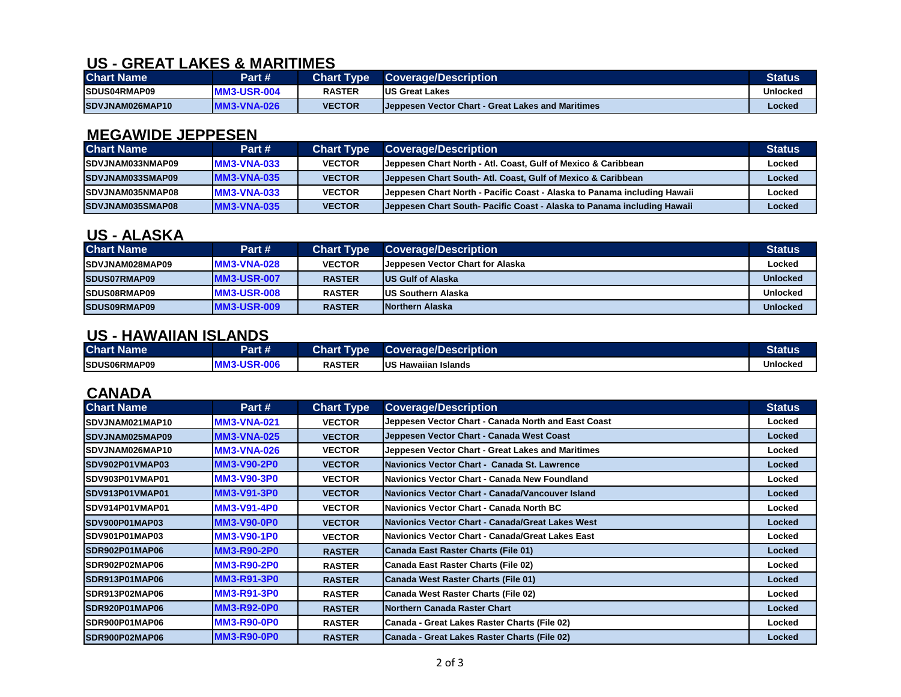# **US - GREAT LAKES & MARITIMES**

| <b>Chart Name</b>       | Part #             | Chart Tvpe \  | <b>Coverage/Description</b>                       | Status   |
|-------------------------|--------------------|---------------|---------------------------------------------------|----------|
| <b>ISDUS04RMAP09</b>    | <b>MM3-USR-004</b> | <b>RASTER</b> | <b>IUS Great Lakes</b>                            | Unlocked |
| <b>ISDVJNAM026MAP10</b> | <b>M3-VNA-026</b>  | <b>VECTOR</b> | Jeppesen Vector Chart - Great Lakes and Maritimes | Locked   |

### **MEGAWIDE JEPPESEN**

| <b>Chart Name</b>        | Part #         | <b>Chart Type</b> | <b>Coverage/Description</b>                                                    | <b>Status</b> |
|--------------------------|----------------|-------------------|--------------------------------------------------------------------------------|---------------|
| <b>ISDVJNAM033NMAP09</b> | $IMM3-VNA-033$ | <b>VECTOR</b>     | Jeppesen Chart North - Atl. Coast, Gulf of Mexico & Caribbean                  | Locked        |
| <b>ISDVJNAM033SMAP09</b> | $IMM3-VNA-035$ | <b>VECTOR</b>     | Jeppesen Chart South-Atl. Coast, Gulf of Mexico & Caribbean                    | <b>Locked</b> |
| <b>ISDVJNAM035NMAP08</b> | $IMM3-VNA-033$ | <b>VECTOR</b>     | Jeppesen Chart North - Pacific Coast - Alaska to Panama including Hawaii       | Locked        |
| SDVJNAM035SMAP08         | $IMM3-VNA-035$ | <b>VECTOR</b>     | <b>Jeppesen Chart South- Pacific Coast - Alaska to Panama including Hawaii</b> | Locked        |

### **US - ALASKA**

| <b>Chart Name</b>    | Part #              | <b>Chart Type</b> | <b>Coverage/Description</b>              | <b>Status</b>   |
|----------------------|---------------------|-------------------|------------------------------------------|-----------------|
| ISDVJNAM028MAP09     | <b>MM3-VNA-028</b>  | <b>VECTOR</b>     | <b>IJeppesen Vector Chart for Alaska</b> | Locked          |
| <b>ISDUS07RMAP09</b> | <b>IMM3-USR-007</b> | <b>RASTER</b>     | <b>IUS Gulf of Alaska</b>                | <b>Unlocked</b> |
| <b>ISDUS08RMAP09</b> | <b>MM3-USR-008</b>  | <b>RASTER</b>     | <b>IUS Southern Alaska</b>               | Unlocked        |
| <b>ISDUS09RMAP09</b> | <b>IMM3-USR-009</b> | <b>RASTER</b>     | <b>INorthern Alaska</b>                  | Unlocked        |

## **US - HAWAIIAN ISLANDS**

| <b>Chart Name</b>   | Part #      | <b>Chart</b><br>Tvpe | <b>Coverage/Description</b>        | <b>Status</b> |
|---------------------|-------------|----------------------|------------------------------------|---------------|
| <b>SDUS06RMAP09</b> | uur<br>IVI. | <b>RASTER</b>        | <b>IUS H</b><br>, Hawaiian Islands | Unlocked      |

## **CANADA**

| <b>Chart Name</b>      | Part #              | <b>Chart Type</b> | <b>Coverage/Description</b>                              | <b>Status</b> |
|------------------------|---------------------|-------------------|----------------------------------------------------------|---------------|
| SDVJNAM021MAP10        | <b>MM3-VNA-021</b>  | <b>VECTOR</b>     | Jeppesen Vector Chart - Canada North and East Coast      | Locked        |
| <b>SDVJNAM025MAP09</b> | IMM3-VNA-025        | <b>VECTOR</b>     | Jeppesen Vector Chart - Canada West Coast                | Locked        |
| SDVJNAM026MAP10        | <b>MM3-VNA-026</b>  | <b>VECTOR</b>     | Jeppesen Vector Chart - Great Lakes and Maritimes        | Locked        |
| SDV902P01VMAP03        | <b>IMM3-V90-2P0</b> | <b>VECTOR</b>     | INavionics Vector Chart - Canada St. Lawrence            | Locked        |
| SDV903P01VMAP01        | <b>MM3-V90-3P0</b>  | <b>VECTOR</b>     | INavionics Vector Chart - Canada New Foundland           | Locked        |
| SDV913P01VMAP01        | <b>MM3-V91-3P0</b>  | <b>VECTOR</b>     | <b>INavionics Vector Chart - Canada/Vancouver Island</b> | Locked        |
| ISDV914P01VMAP01       | <b>MM3-V91-4P0</b>  | <b>VECTOR</b>     | INavionics Vector Chart - Canada North BC                | Locked        |
| <b>ISDV900P01MAP03</b> | <b>MM3-V90-0P0</b>  | <b>VECTOR</b>     | Navionics Vector Chart - Canada/Great Lakes West         | Locked        |
| SDV901P01MAP03         | <b>MM3-V90-1P0</b>  | <b>VECTOR</b>     | INavionics Vector Chart - Canada/Great Lakes East        | Locked        |
| SDR902P01MAP06         | IMM3-R90-2P0        | <b>RASTER</b>     | Canada East Raster Charts (File 01)                      | Locked        |
| SDR902P02MAP06         | <b>MM3-R90-2P0</b>  | <b>RASTER</b>     | Canada East Raster Charts (File 02)                      | Locked        |
| SDR913P01MAP06         | <b>MM3-R91-3P0</b>  | <b>RASTER</b>     | Canada West Raster Charts (File 01)                      | Locked        |
| SDR913P02MAP06         | <b>MM3-R91-3P0</b>  | <b>RASTER</b>     | Canada West Raster Charts (File 02)                      | Locked        |
| SDR920P01MAP06         | <b>MM3-R92-0P0</b>  | <b>RASTER</b>     | Northern Canada Raster Chart                             | Locked        |
| SDR900P01MAP06         | <b>MM3-R90-0P0</b>  | <b>RASTER</b>     | Canada - Great Lakes Raster Charts (File 02)             | Locked        |
| SDR900P02MAP06         | <b>MM3-R90-0P0</b>  | <b>RASTER</b>     | Canada - Great Lakes Raster Charts (File 02)             | Locked        |